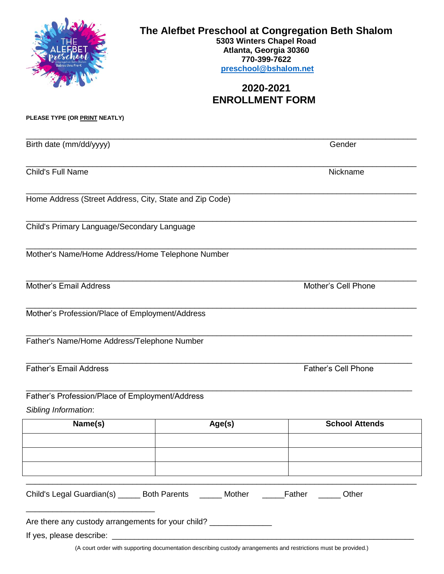|                                                                                       | The Alefbet Preschool at Congregation Beth Shalom<br>5303 Winters Chapel Road<br>Atlanta, Georgia 30360<br>770-399-7622<br>preschool@bshalom.net<br>2020-2021<br><b>ENROLLMENT FORM</b> |                       |  |
|---------------------------------------------------------------------------------------|-----------------------------------------------------------------------------------------------------------------------------------------------------------------------------------------|-----------------------|--|
| PLEASE TYPE (OR PRINT NEATLY)                                                         |                                                                                                                                                                                         |                       |  |
| Birth date (mm/dd/yyyy)                                                               |                                                                                                                                                                                         | Gender                |  |
| Child's Full Name<br>Nickname                                                         |                                                                                                                                                                                         |                       |  |
| Home Address (Street Address, City, State and Zip Code)                               |                                                                                                                                                                                         |                       |  |
| Child's Primary Language/Secondary Language                                           |                                                                                                                                                                                         |                       |  |
| Mother's Name/Home Address/Home Telephone Number                                      |                                                                                                                                                                                         |                       |  |
| <b>Mother's Email Address</b><br>Mother's Cell Phone                                  |                                                                                                                                                                                         |                       |  |
| Mother's Profession/Place of Employment/Address                                       |                                                                                                                                                                                         |                       |  |
| Father's Name/Home Address/Telephone Number                                           |                                                                                                                                                                                         |                       |  |
| <b>Father's Email Address</b><br><b>Father's Cell Phone</b>                           |                                                                                                                                                                                         |                       |  |
| Father's Profession/Place of Employment/Address<br>Sibling Information:               |                                                                                                                                                                                         |                       |  |
| Name(s)                                                                               | Age(s)                                                                                                                                                                                  | <b>School Attends</b> |  |
|                                                                                       |                                                                                                                                                                                         |                       |  |
|                                                                                       |                                                                                                                                                                                         |                       |  |
| Child's Legal Guardian(s) ______ Both Parents ______ Mother ______Father ______ Other |                                                                                                                                                                                         |                       |  |
| Are there any custody arrangements for your child? _____________________________      |                                                                                                                                                                                         |                       |  |

(A court order with supporting documentation describing custody arrangements and restrictions must be provided.)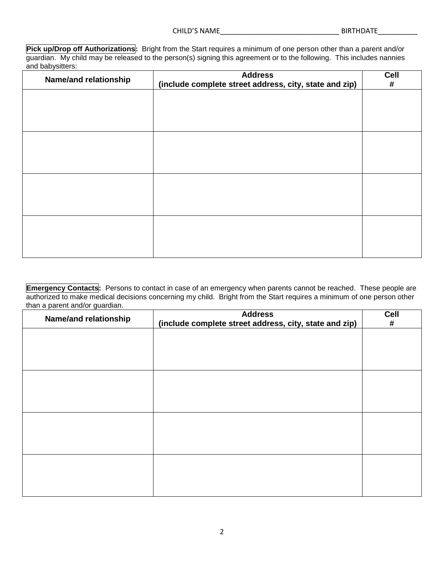**Pick up/Drop off Authorizations:** Bright from the Start requires a minimum of one person other than a parent and/or guardian. My child may be released to the person(s) signing this agreement or to the following. This includes nannies and babysitters:

| Name/and relationship | <b>Address</b><br>(include complete street address, city, state and zip) | Cell<br># |
|-----------------------|--------------------------------------------------------------------------|-----------|
|                       |                                                                          |           |
|                       |                                                                          |           |
|                       |                                                                          |           |
|                       |                                                                          |           |
|                       |                                                                          |           |
|                       |                                                                          |           |
|                       |                                                                          |           |
|                       |                                                                          |           |

**Emergency Contacts:** Persons to contact in case of an emergency when parents cannot be reached. These people are authorized to make medical decisions concerning my child. Bright from the Start requires a minimum of one person other than a parent and/or guardian.

| Name/and relationship | <b>Address</b><br>(include complete street address, city, state and zip) | Cell<br># |
|-----------------------|--------------------------------------------------------------------------|-----------|
|                       |                                                                          |           |
|                       |                                                                          |           |
|                       |                                                                          |           |
|                       |                                                                          |           |
|                       |                                                                          |           |
|                       |                                                                          |           |
|                       |                                                                          |           |
|                       |                                                                          |           |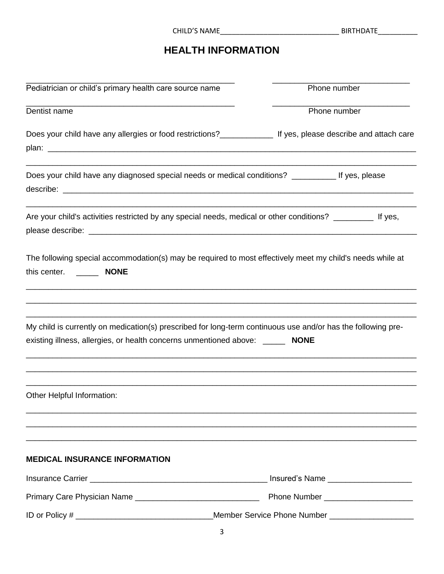| <b>CHILD'S NAME</b> |  |
|---------------------|--|
|                     |  |

### **HEALTH INFORMATION**

| Pediatrician or child's primary health care source name                                                                                                                                        | Phone number                                      |
|------------------------------------------------------------------------------------------------------------------------------------------------------------------------------------------------|---------------------------------------------------|
| Dentist name                                                                                                                                                                                   | Phone number                                      |
|                                                                                                                                                                                                |                                                   |
| Does your child have any allergies or food restrictions?<br><u> Letting 1500</u> for the set of search based and attach care                                                                   |                                                   |
|                                                                                                                                                                                                |                                                   |
| Does your child have any diagnosed special needs or medical conditions? __________ If yes, please                                                                                              |                                                   |
| Are your child's activities restricted by any special needs, medical or other conditions? __________ If yes,                                                                                   |                                                   |
| The following special accommodation(s) may be required to most effectively meet my child's needs while at                                                                                      |                                                   |
| My child is currently on medication(s) prescribed for long-term continuous use and/or has the following pre-<br>existing illness, allergies, or health concerns unmentioned above: ______ NONE |                                                   |
| Other Helpful Information:                                                                                                                                                                     |                                                   |
| <b>MEDICAL INSURANCE INFORMATION</b>                                                                                                                                                           |                                                   |
|                                                                                                                                                                                                |                                                   |
|                                                                                                                                                                                                |                                                   |
|                                                                                                                                                                                                | Member Service Phone Number _____________________ |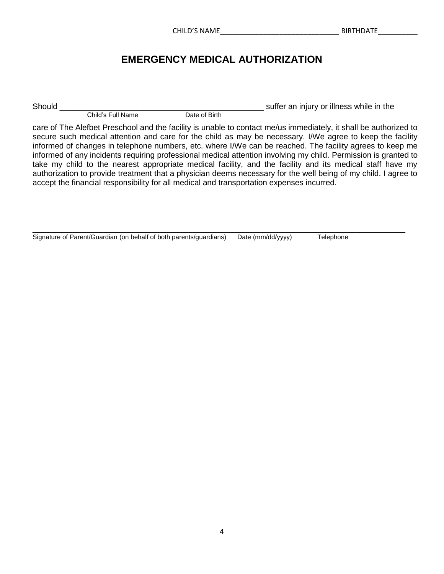### **EMERGENCY MEDICAL AUTHORIZATION**

Child's Full Name

Should \_\_\_\_\_\_\_\_\_\_\_\_\_\_\_\_\_\_\_\_\_\_\_\_\_\_\_\_\_\_\_\_\_\_\_\_\_\_\_\_\_\_\_\_\_\_ suffer an injury or illness while in the

care of The Alefbet Preschool and the facility is unable to contact me/us immediately, it shall be authorized to secure such medical attention and care for the child as may be necessary. I/We agree to keep the facility informed of changes in telephone numbers, etc. where I/We can be reached. The facility agrees to keep me informed of any incidents requiring professional medical attention involving my child. Permission is granted to take my child to the nearest appropriate medical facility, and the facility and its medical staff have my authorization to provide treatment that a physician deems necessary for the well being of my child. I agree to accept the financial responsibility for all medical and transportation expenses incurred.

#### \_\_\_\_\_\_\_\_\_\_\_\_\_\_\_\_\_\_\_\_\_\_\_\_\_\_\_\_\_\_\_\_\_\_\_\_\_\_\_\_\_\_\_\_\_\_\_\_\_\_\_\_\_\_\_\_\_\_\_\_\_\_\_\_\_\_\_\_\_\_\_\_\_\_\_\_\_\_\_\_\_\_\_\_ Signature of Parent/Guardian (on behalf of both parents/guardians) Date (mm/dd/yyyy) Telephone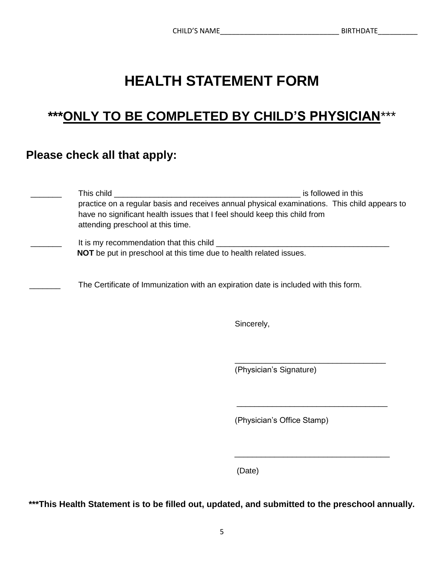# **HEALTH STATEMENT FORM**

## **\*\*\*ONLY TO BE COMPLETED BY CHILD'S PHYSICIAN**\*\*\*

### **Please check all that apply:**

| This child<br>practice on a regular basis and receives annual physical examinations. This child appears to<br>have no significant health issues that I feel should keep this child from<br>attending preschool at this time. | is followed in this |
|------------------------------------------------------------------------------------------------------------------------------------------------------------------------------------------------------------------------------|---------------------|
| It is my recommendation that this child _______<br><b>NOT</b> be put in preschool at this time due to health related issues.                                                                                                 |                     |
| The Certificate of Immunization with an expiration date is included with this form.                                                                                                                                          |                     |

Sincerely,

(Physician's Signature)

\_\_\_\_\_\_\_\_\_\_\_\_\_\_\_\_\_\_\_\_\_\_\_\_\_\_\_\_\_\_\_\_\_\_

(Physician's Office Stamp)

(Date)

**\*\*\*This Health Statement is to be filled out, updated, and submitted to the preschool annually.**

 $\overline{\phantom{a}}$  , which is a set of the set of the set of the set of the set of the set of the set of the set of the set of the set of the set of the set of the set of the set of the set of the set of the set of the set of th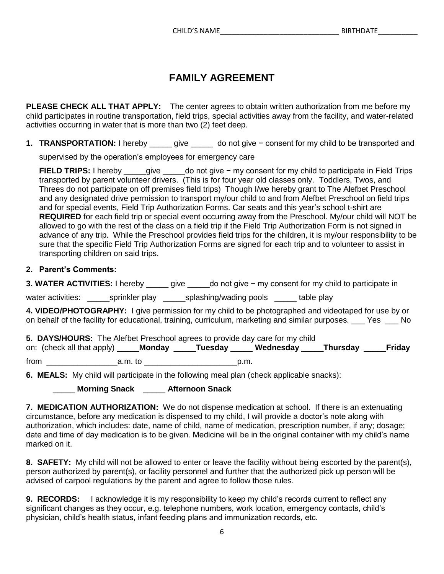### **FAMILY AGREEMENT**

**PLEASE CHECK ALL THAT APPLY:** The center agrees to obtain written authorization from me before my child participates in routine transportation, field trips, special activities away from the facility, and water-related activities occurring in water that is more than two (2) feet deep.

**1. TRANSPORTATION:** I hereby \_\_\_\_\_ give \_\_\_\_\_ do not give − consent for my child to be transported and

supervised by the operation's employees for emergency care

**FIELD TRIPS:** I hereby \_\_\_\_\_give \_\_\_\_\_do not give − my consent for my child to participate in Field Trips transported by parent volunteer drivers. (This is for four year old classes only. Toddlers, Twos, and Threes do not participate on off premises field trips) Though I/we hereby grant to The Alefbet Preschool and any designated drive permission to transport my/our child to and from Alefbet Preschool on field trips and for special events, Field Trip Authorization Forms. Car seats and this year's school t-shirt are **REQUIRED** for each field trip or special event occurring away from the Preschool. My/our child will NOT be allowed to go with the rest of the class on a field trip if the Field Trip Authorization Form is not signed in advance of any trip. While the Preschool provides field trips for the children, it is my/our responsibility to be sure that the specific Field Trip Authorization Forms are signed for each trip and to volunteer to assist in transporting children on said trips.

#### **2. Parent's Comments:**

**3. WATER ACTIVITIES:** I hereby \_\_\_\_\_ give \_\_\_\_\_do not give − my consent for my child to participate in

water activities: exprinkler play by splashing/wading pools table play

**4. VIDEO/PHOTOGRAPHY:** I give permission for my child to be photographed and videotaped for use by or on behalf of the facility for educational, training, curriculum, marketing and similar purposes. Yes No

**5. DAYS/HOURS:** The Alefbet Preschool agrees to provide day care for my child on: (check all that apply) \_\_\_\_\_**Monday** \_\_\_\_\_**Tuesday** \_\_\_\_\_ **Wednesday** \_\_\_\_\_**Thursday** \_\_\_\_\_**Friday**  from \_\_\_\_\_\_\_\_\_\_\_\_\_\_\_\_a.m. to \_\_\_\_\_\_\_\_\_\_\_\_\_\_\_\_\_\_\_\_\_p.m.

**6. MEALS:** My child will participate in the following meal plan (check applicable snacks):

\_\_\_\_\_ **Morning Snack** \_\_\_\_\_ **Afternoon Snack** 

**7. MEDICATION AUTHORIZATION:** We do not dispense medication at school. If there is an extenuating circumstance, before any medication is dispensed to my child, I will provide a doctor's note along with authorization, which includes: date, name of child, name of medication, prescription number, if any; dosage; date and time of day medication is to be given. Medicine will be in the original container with my child's name marked on it.

**8. SAFETY:** My child will not be allowed to enter or leave the facility without being escorted by the parent(s), person authorized by parent(s), or facility personnel and further that the authorized pick up person will be advised of carpool regulations by the parent and agree to follow those rules.

**9. RECORDS:** I acknowledge it is my responsibility to keep my child's records current to reflect any significant changes as they occur, e.g. telephone numbers, work location, emergency contacts, child's physician, child's health status, infant feeding plans and immunization records, etc.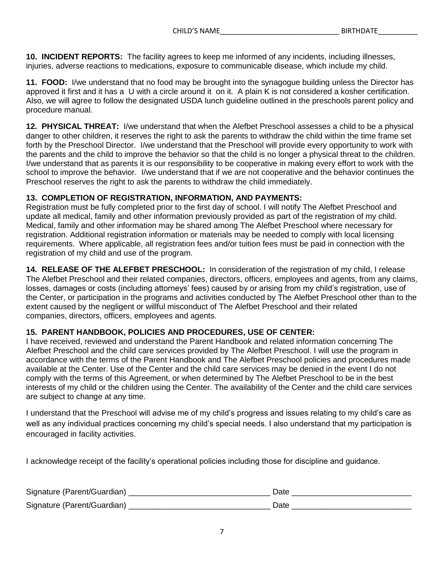**10. INCIDENT REPORTS:** The facility agrees to keep me informed of any incidents, including illnesses, injuries, adverse reactions to medications, exposure to communicable disease, which include my child.

**11. FOOD:** I/we understand that no food may be brought into the synagogue building unless the Director has approved it first and it has a U with a circle around it on it. A plain K is not considered a kosher certification. Also, we will agree to follow the designated USDA lunch guideline outlined in the preschools parent policy and procedure manual.

**12. PHYSICAL THREAT:** I/we understand that when the Alefbet Preschool assesses a child to be a physical danger to other children, it reserves the right to ask the parents to withdraw the child within the time frame set forth by the Preschool Director. I/we understand that the Preschool will provide every opportunity to work with the parents and the child to improve the behavior so that the child is no longer a physical threat to the children. I/we understand that as parents it is our responsibility to be cooperative in making every effort to work with the school to improve the behavior. I/we understand that if we are not cooperative and the behavior continues the Preschool reserves the right to ask the parents to withdraw the child immediately.

#### **13. COMPLETION OF REGISTRATION, INFORMATION, AND PAYMENTS:**

Registration must be fully completed prior to the first day of school. I will notify The Alefbet Preschool and update all medical, family and other information previously provided as part of the registration of my child. Medical, family and other information may be shared among The Alefbet Preschool where necessary for registration. Additional registration information or materials may be needed to comply with local licensing requirements. Where applicable, all registration fees and/or tuition fees must be paid in connection with the registration of my child and use of the program.

**14. RELEASE OF THE ALEFBET PRESCHOOL:** In consideration of the registration of my child, I release The Alefbet Preschool and their related companies, directors, officers, employees and agents, from any claims, losses, damages or costs (including attorneys' fees) caused by or arising from my child's registration, use of the Center, or participation in the programs and activities conducted by The Alefbet Preschool other than to the extent caused by the negligent or willful misconduct of The Alefbet Preschool and their related companies, directors, officers, employees and agents.

#### **15. PARENT HANDBOOK, POLICIES AND PROCEDURES, USE OF CENTER:**

I have received, reviewed and understand the Parent Handbook and related information concerning The Alefbet Preschool and the child care services provided by The Alefbet Preschool. I will use the program in accordance with the terms of the Parent Handbook and The Alefbet Preschool policies and procedures made available at the Center. Use of the Center and the child care services may be denied in the event I do not comply with the terms of this Agreement, or when determined by The Alefbet Preschool to be in the best interests of my child or the children using the Center. The availability of the Center and the child care services are subject to change at any time.

I understand that the Preschool will advise me of my child's progress and issues relating to my child's care as well as any individual practices concerning my child's special needs. I also understand that my participation is encouraged in facility activities.

I acknowledge receipt of the facility's operational policies including those for discipline and guidance.

| Signature (Parent/Guardian) | <b>Date</b> |
|-----------------------------|-------------|
| Signature (Parent/Guardian) | つate        |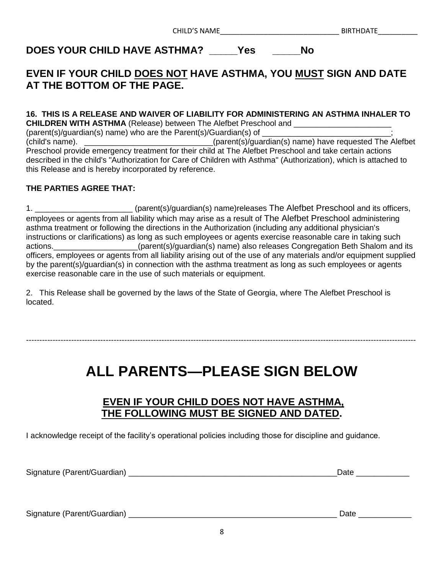CHILD'S NAME\_\_\_\_\_\_\_\_\_\_\_\_\_\_\_\_\_\_\_\_\_\_\_\_\_\_\_\_\_\_ BIRTHDATE\_\_\_\_\_\_\_\_\_\_

**DOES YOUR CHILD HAVE ASTHMA? \_\_\_\_\_Yes \_\_\_\_\_No**

### **EVEN IF YOUR CHILD DOES NOT HAVE ASTHMA, YOU MUST SIGN AND DATE AT THE BOTTOM OF THE PAGE.**

#### **16. THIS IS A RELEASE AND WAIVER OF LIABILITY FOR ADMINISTERING AN ASTHMA INHALER TO CHILDREN WITH ASTHMA** (Release) between The Alefbet Preschool and

(parent(s)/guardian(s) name) who are the Parent(s)/Guardian(s) of (child's name). \_\_\_\_\_\_\_\_\_\_\_\_\_\_\_\_\_\_\_\_\_\_\_\_\_\_\_\_\_(parent(s)/guardian(s) name) have requested The Alefbet Preschool provide emergency treatment for their child at The Alefbet Preschool and take certain actions described in the child's "Authorization for Care of Children with Asthma" (Authorization), which is attached to this Release and is hereby incorporated by reference.

#### **THE PARTIES AGREE THAT:**

1. \_\_\_\_\_\_\_\_\_\_\_\_\_\_\_\_\_\_\_\_\_\_ (parent(s)/guardian(s) name)releases The Alefbet Preschool and its officers, employees or agents from all liability which may arise as a result of The Alefbet Preschool administering asthma treatment or following the directions in the Authorization (including any additional physician's instructions or clarifications) as long as such employees or agents exercise reasonable care in taking such actions. \_\_\_\_\_\_\_\_\_\_\_\_\_\_\_\_\_\_\_\_(parent(s)/guardian(s) name) also releases Congregation Beth Shalom and its officers, employees or agents from all liability arising out of the use of any materials and/or equipment supplied by the parent(s)/guardian(s) in connection with the asthma treatment as long as such employees or agents exercise reasonable care in the use of such materials or equipment.

2. This Release shall be governed by the laws of the State of Georgia, where The Alefbet Preschool is located.

## **ALL PARENTS—PLEASE SIGN BELOW**

---------------------------------------------------------------------------------------------------------------------------------------------------

#### **EVEN IF YOUR CHILD DOES NOT HAVE ASTHMA, THE FOLLOWING MUST BE SIGNED AND DATED.**

I acknowledge receipt of the facility's operational policies including those for discipline and guidance.

Signature (Parent/Guardian) \_\_\_\_\_\_\_\_\_\_\_\_\_\_\_\_\_\_\_\_\_\_\_\_\_\_\_\_\_\_\_\_\_\_\_\_\_\_\_\_\_\_\_\_\_\_\_Date \_\_\_\_\_\_\_\_\_\_\_\_

Signature (Parent/Guardian) \_\_\_\_\_\_\_\_\_\_\_\_\_\_\_\_\_\_\_\_\_\_\_\_\_\_\_\_\_\_\_\_\_\_\_\_\_\_\_\_\_\_\_\_\_\_\_ Date \_\_\_\_\_\_\_\_\_\_\_\_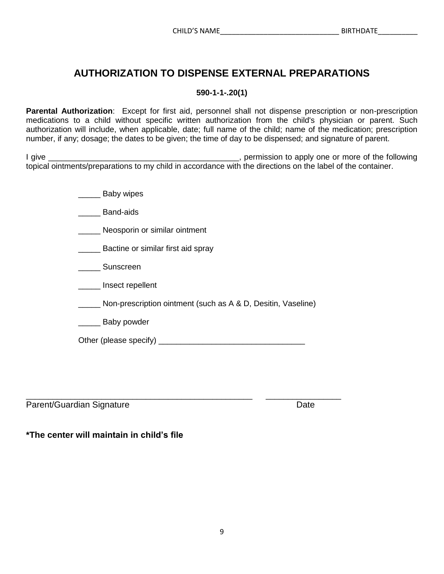#### **AUTHORIZATION TO DISPENSE EXTERNAL PREPARATIONS**

#### **590-1-1-.20(1)**

**Parental Authorization**: Except for first aid, personnel shall not dispense prescription or non-prescription medications to a child without specific written authorization from the child's physician or parent. Such authorization will include, when applicable, date; full name of the child; name of the medication; prescription number, if any; dosage; the dates to be given; the time of day to be dispensed; and signature of parent.

I give \_\_\_\_\_\_\_\_\_\_\_\_\_\_\_\_\_\_\_\_\_\_\_\_\_\_\_\_\_\_\_\_\_\_\_\_\_\_\_\_\_\_\_, permission to apply one or more of the following topical ointments/preparations to my child in accordance with the directions on the label of the container.

- \_\_\_\_\_ Baby wipes
- Band-aids
- \_\_\_\_\_\_ Neosporin or similar ointment
- \_\_\_\_\_ Bactine or similar first aid spray
- Sunscreen
- \_\_\_\_\_ Insect repellent
- \_\_\_\_\_ Non-prescription ointment (such as A & D, Desitin, Vaseline)
- \_\_\_\_\_ Baby powder

| Other (please specify) |  |
|------------------------|--|
|------------------------|--|

\_\_\_\_\_\_\_\_\_\_\_\_\_\_\_\_\_\_\_\_\_\_\_\_\_\_\_\_\_\_\_\_\_\_\_\_\_\_\_\_\_\_\_\_\_\_\_\_\_\_\_ \_\_\_\_\_\_\_\_\_\_\_\_\_\_\_\_\_ Parent/Guardian Signature **Date** Date

**\*The center will maintain in child's file**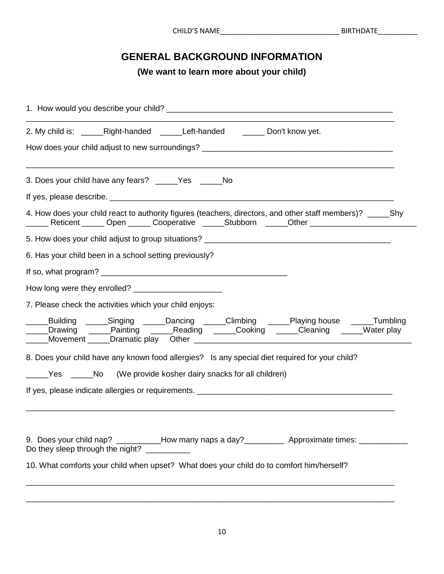### **GENERAL BACKGROUND INFORMATION**

**(We want to learn more about your child)**

| 2. My child is: _______Right-handed ________Left-handed __________ Don't know yet.                                                                                                                                             |  |  |  |
|--------------------------------------------------------------------------------------------------------------------------------------------------------------------------------------------------------------------------------|--|--|--|
| How does your child adjust to new surroundings? ________________________________                                                                                                                                               |  |  |  |
| 3. Does your child have any fears? _____Yes _____No                                                                                                                                                                            |  |  |  |
| If yes, please describe. Letter the control of the control of the control of the control of the control of the control of the control of the control of the control of the control of the control of the control of the contro |  |  |  |
| 4. How does your child react to authority figures (teachers, directors, and other staff members)? _______ Shy<br>______ Reticent ______ Open ______ Cooperative ______Stubborn ______Other _________________________           |  |  |  |
|                                                                                                                                                                                                                                |  |  |  |
| 6. Has your child been in a school setting previously?                                                                                                                                                                         |  |  |  |
|                                                                                                                                                                                                                                |  |  |  |
|                                                                                                                                                                                                                                |  |  |  |
| 7. Please check the activities which your child enjoys:                                                                                                                                                                        |  |  |  |
| ____Building ______Singing ______Dancing ______Climbing ______Playing house ______Tumbling<br>___Drawing _____Painting _____Reading _____Cooking _____Cleaning _____Water play                                                 |  |  |  |
| 8. Does your child have any known food allergies? Is any special diet required for your child?                                                                                                                                 |  |  |  |
| _____Yes ______No (We provide kosher dairy snacks for all children)                                                                                                                                                            |  |  |  |
|                                                                                                                                                                                                                                |  |  |  |
| 9. Does your child nap? __________How many naps a day?____________ Approximate times: ____________<br>Do they sleep through the night? ___________                                                                             |  |  |  |
| 10. What comforts your child when upset? What does your child do to comfort him/herself?                                                                                                                                       |  |  |  |